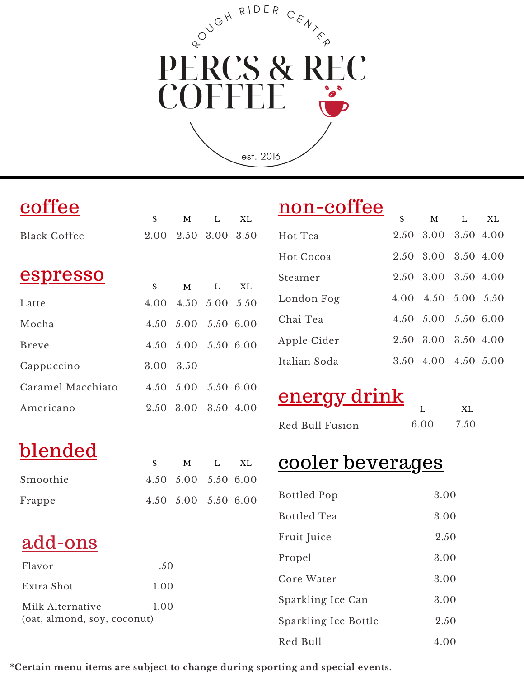# PUCH RIDER CENTER PERCS & REC COFFEI

est. 2016

blended

add-ons

Milk Alternative

(oat, almond, soy, coconut)

Smoothie

Frappe

Flavor

Extra Shot

|                     |           | M                   |     | X <sub>L</sub> |
|---------------------|-----------|---------------------|-----|----------------|
| <b>Black Coffee</b> |           | 2.00 2.50 3.00 3.50 |     |                |
| <u>espresso</u>     |           |                     |     |                |
|                     | S.        |                     | M L | XL.            |
| Latte               |           | 4.00 4.50 5.00 5.50 |     |                |
| Mocha               |           | 4.50 5.00 5.50 6.00 |     |                |
| <b>Breve</b>        |           | 4.50 5.00 5.50 6.00 |     |                |
| Cappuccino          | 3.00 3.50 |                     |     |                |
| Caramel Macchiato   |           | 4.50 5.00 5.50 6.00 |     |                |
| Americano           |           | 2.50 3.00 3.50 4.00 |     |                |

#### non-coffee

|              | S | M                   | $\mathbf{L}$ | XL X |
|--------------|---|---------------------|--------------|------|
| Hot Tea      |   | 2.50 3.00 3.50 4.00 |              |      |
| Hot Cocoa    |   | 2.50 3.00 3.50 4.00 |              |      |
| Steamer      |   | 2.50 3.00 3.50 4.00 |              |      |
| London Fog   |   | 4.00 4.50 5.00 5.50 |              |      |
| Chai Tea     |   | 4.50 5.00 5.50 6.00 |              |      |
| Apple Cider  |   | 2.50 3.00 3.50 4.00 |              |      |
| Italian Soda |   | 3.50 4.00 4.50 5.00 |              |      |

### energy drink

| ——————————————— |      | X <sub>L</sub> |
|-----------------|------|----------------|
| Red Bull Fusion | 6.00 | 7.50           |

#### cooler beverages

| <b>Bottled Pop</b>   | 3.00 |
|----------------------|------|
| <b>Bottled Tea</b>   | 3.00 |
| Fruit Juice          | 2.50 |
| Propel               | 3.00 |
| Core Water           | 3.00 |
| Sparkling Ice Can    | 3.00 |
| Sparkling Ice Bottle | 2.50 |
| Red Bull             | 4.00 |

**\*Certain menu items are subject to change during sporting and special events.**

S M L 5.00

4.50

.50

1.00

1.00

5.00 4.50 5.50 6.00

5.50 6.00

XL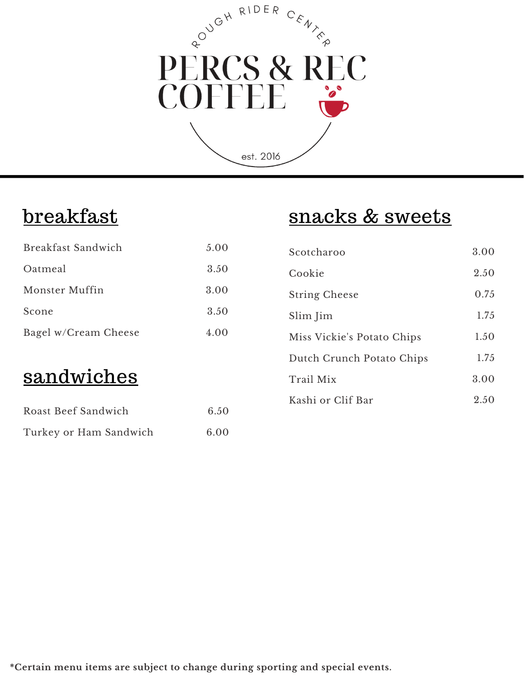# PUGH RIDER CENTER PERCS & REC  $\frac{1}{\sqrt{2}}$

est. 2016

#### **breakfast**

#### snacks & sweets

| Breakfast Sandwich     | 5.00 | Scotcharoo                 | 3.00 |
|------------------------|------|----------------------------|------|
| Oatmeal                | 3.50 | Cookie                     | 2.50 |
| Monster Muffin         | 3.00 | <b>String Cheese</b>       | 0.75 |
| Scone                  | 3.50 | Slim Jim                   | 1.75 |
| Bagel w/Cream Cheese   | 4.00 | Miss Vickie's Potato Chips | 1.50 |
|                        |      | Dutch Crunch Potato Chips  | 1.75 |
| sandwiches             |      | Trail Mix                  | 3.00 |
| Roast Beef Sandwich    | 6.50 | Kashi or Clif Bar          | 2.50 |
| Turkey or Ham Sandwich | 6.00 |                            |      |

**\*Certain menu items are subject to change during sporting and special events.**